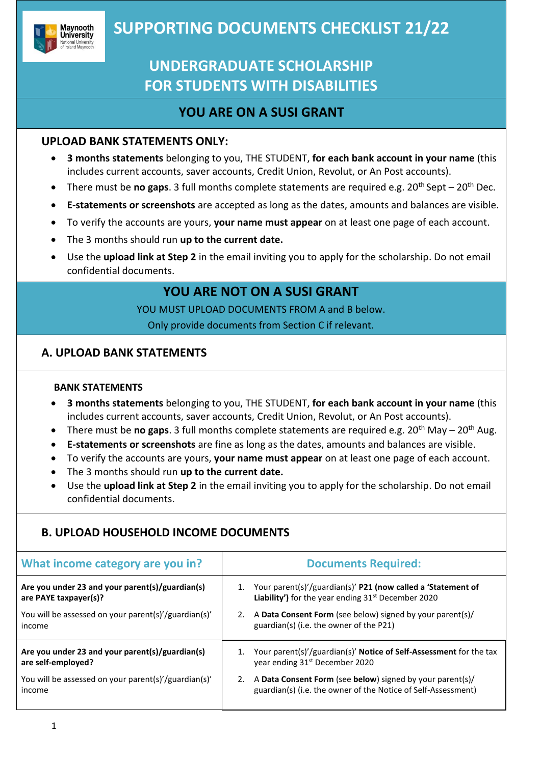

# **Maynooth SUPPORTING DOCUMENTS CHECKLIST 21/22**

# **UNDERGRADUATE SCHOLARSHIP FOR STUDENTS WITH DISABILITIES**

## **YOU ARE ON A SUSI GRANT**

### **UPLOAD BANK STATEMENTS ONLY:**

- **3 months statements** belonging to you, THE STUDENT, **for each bank account in your name** (this includes current accounts, saver accounts, Credit Union, Revolut, or An Post accounts).
- There must be **no gaps**. 3 full months complete statements are required e.g. 20<sup>th</sup> Sept 20<sup>th</sup> Dec.
- **E-statements or screenshots** are accepted as long as the dates, amounts and balances are visible.
- To verify the accounts are yours, **your name must appear** on at least one page of each account.
- The 3 months should run **up to the current date.**
- Use the **upload link at Step 2** in the email inviting you to apply for the scholarship. Do not email confidential documents.

## **YOU ARE NOT ON A SUSI GRANT**

YOU MUST UPLOAD DOCUMENTS FROM A and B below.

Only provide documents from Section C if relevant.

### **A. UPLOAD BANK STATEMENTS**

#### **BANK STATEMENTS**

- **3 months statements** belonging to you, THE STUDENT, **for each bank account in your name** (this includes current accounts, saver accounts, Credit Union, Revolut, or An Post accounts).
- There must be **no gaps**. 3 full months complete statements are required e.g. 20<sup>th</sup> May 20<sup>th</sup> Aug.
- **E-statements or screenshots** are fine as long as the dates, amounts and balances are visible.
- To verify the accounts are yours, **your name must appear** on at least one page of each account.
- The 3 months should run **up to the current date.**
- Use the **upload link at Step 2** in the email inviting you to apply for the scholarship. Do not email confidential documents.

### **B. UPLOAD HOUSEHOLD INCOME DOCUMENTS**

| What income category are you in?                               | <b>Documents Required:</b>                                                                                                       |
|----------------------------------------------------------------|----------------------------------------------------------------------------------------------------------------------------------|
| Are you under 23 and your parent(s)/guardian(s)                | Your parent(s)'/guardian(s)' P21 (now called a 'Statement of                                                                     |
| are PAYE taxpayer(s)?                                          | <b>Liability')</b> for the year ending $31st$ December 2020                                                                      |
| You will be assessed on your parent(s)'/guardian(s)'           | A Data Consent Form (see below) signed by your parent(s)/                                                                        |
| income                                                         | guardian(s) (i.e. the owner of the P21)                                                                                          |
| Are you under 23 and your parent(s)/guardian(s)                | Your parent(s)'/guardian(s)' Notice of Self-Assessment for the tax                                                               |
| are self-employed?                                             | year ending 31 <sup>st</sup> December 2020                                                                                       |
| You will be assessed on your parent(s)'/guardian(s)'<br>income | A Data Consent Form (see below) signed by your parent(s)/<br>2.<br>guardian(s) (i.e. the owner of the Notice of Self-Assessment) |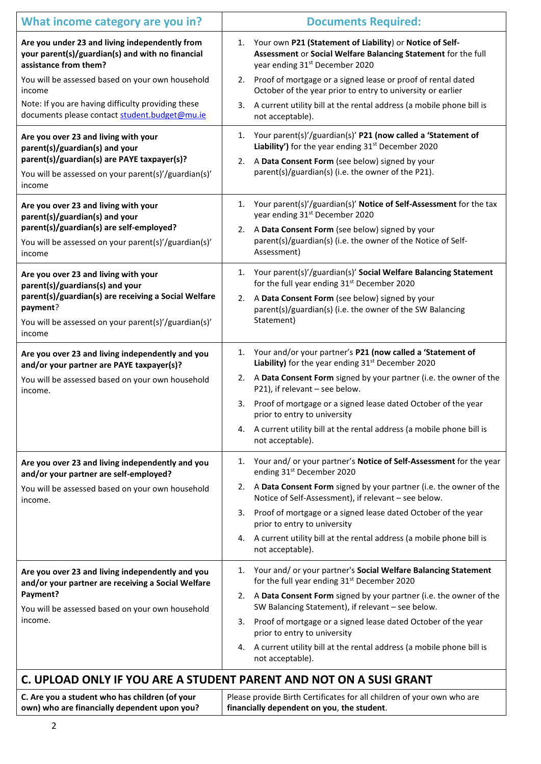| What income category are you in?                                                                                            | <b>Documents Required:</b>                                                                                                                                                    |  |
|-----------------------------------------------------------------------------------------------------------------------------|-------------------------------------------------------------------------------------------------------------------------------------------------------------------------------|--|
| Are you under 23 and living independently from<br>your parent(s)/guardian(s) and with no financial<br>assistance from them? | Your own P21 (Statement of Liability) or Notice of Self-<br>1.<br>Assessment or Social Welfare Balancing Statement for the full<br>year ending 31 <sup>st</sup> December 2020 |  |
| You will be assessed based on your own household<br>income                                                                  | 2. Proof of mortgage or a signed lease or proof of rental dated<br>October of the year prior to entry to university or earlier                                                |  |
| Note: If you are having difficulty providing these<br>documents please contact student.budget@mu.ie                         | A current utility bill at the rental address (a mobile phone bill is<br>3.<br>not acceptable).                                                                                |  |
| Are you over 23 and living with your<br>parent(s)/guardian(s) and your                                                      | Your parent(s)'/guardian(s)' P21 (now called a 'Statement of<br>1.<br>Liability') for the year ending 31 <sup>st</sup> December 2020                                          |  |
| parent(s)/guardian(s) are PAYE taxpayer(s)?<br>You will be assessed on your parent(s)'/guardian(s)'<br>income               | A Data Consent Form (see below) signed by your<br>2.<br>parent(s)/guardian(s) (i.e. the owner of the P21).                                                                    |  |
| Are you over 23 and living with your<br>parent(s)/guardian(s) and your                                                      | Your parent(s)'/guardian(s)' Notice of Self-Assessment for the tax<br>1.<br>year ending 31 <sup>st</sup> December 2020                                                        |  |
| parent(s)/guardian(s) are self-employed?<br>You will be assessed on your parent(s)'/guardian(s)'<br>income                  | A Data Consent Form (see below) signed by your<br>2.<br>parent(s)/guardian(s) (i.e. the owner of the Notice of Self-<br>Assessment)                                           |  |
| Are you over 23 and living with your<br>parent(s)/guardians(s) and your                                                     | Your parent(s)'/guardian(s)' Social Welfare Balancing Statement<br>1.<br>for the full year ending 31 <sup>st</sup> December 2020                                              |  |
| parent(s)/guardian(s) are receiving a Social Welfare<br>payment?                                                            | A Data Consent Form (see below) signed by your<br>2.<br>parent(s)/guardian(s) (i.e. the owner of the SW Balancing                                                             |  |
| You will be assessed on your parent(s)'/guardian(s)'<br>income                                                              | Statement)                                                                                                                                                                    |  |
| Are you over 23 and living independently and you<br>and/or your partner are PAYE taxpayer(s)?                               | 1. Your and/or your partner's P21 (now called a 'Statement of<br>Liability) for the year ending 31 <sup>st</sup> December 2020                                                |  |
| You will be assessed based on your own household<br>income.                                                                 | A Data Consent Form signed by your partner (i.e. the owner of the<br>2.<br>P21), if relevant - see below.                                                                     |  |
|                                                                                                                             | Proof of mortgage or a signed lease dated October of the year<br>3.<br>prior to entry to university                                                                           |  |
|                                                                                                                             | A current utility bill at the rental address (a mobile phone bill is<br>4.<br>not acceptable).                                                                                |  |
| Are you over 23 and living independently and you<br>and/or your partner are self-employed?                                  | Your and/ or your partner's Notice of Self-Assessment for the year<br>1.<br>ending 31st December 2020                                                                         |  |
| You will be assessed based on your own household<br>income.                                                                 | A Data Consent Form signed by your partner (i.e. the owner of the<br>2.<br>Notice of Self-Assessment), if relevant - see below.                                               |  |
|                                                                                                                             | Proof of mortgage or a signed lease dated October of the year<br>3.<br>prior to entry to university                                                                           |  |
|                                                                                                                             | A current utility bill at the rental address (a mobile phone bill is<br>4.<br>not acceptable).                                                                                |  |
| Are you over 23 and living independently and you<br>and/or your partner are receiving a Social Welfare                      | Your and/ or your partner's Social Welfare Balancing Statement<br>1.<br>for the full year ending 31 <sup>st</sup> December 2020                                               |  |
| Payment?<br>You will be assessed based on your own household<br>income.                                                     | 2. A Data Consent Form signed by your partner (i.e. the owner of the<br>SW Balancing Statement), if relevant - see below.                                                     |  |
|                                                                                                                             | Proof of mortgage or a signed lease dated October of the year<br>3.<br>prior to entry to university                                                                           |  |
|                                                                                                                             | A current utility bill at the rental address (a mobile phone bill is<br>4.<br>not acceptable).                                                                                |  |
| C. UPLOAD ONLY IF YOU ARE A STUDENT PARENT AND NOT ON A SUSI GRANT                                                          |                                                                                                                                                                               |  |
| C Are vou a student who has children (of your                                                                               | Please provide Birth Certificates for all children of your own who are                                                                                                        |  |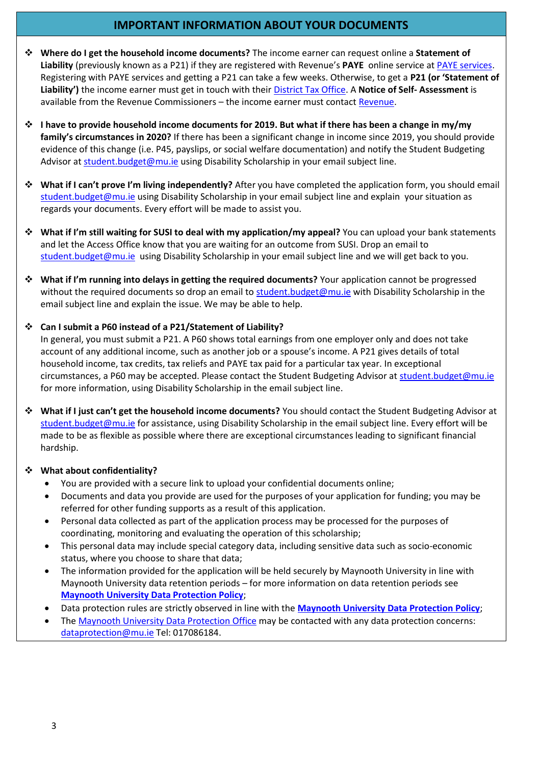### **IMPORTANT INFORMATION ABOUT YOUR DOCUMENTS**

- ❖ **Where do I get the household income documents?** The income earner can request online a **Statement of Liability** (previously known as a P21) if they are registered with Revenue's **PAYE** online service at [PAYE services.](https://www.revenue.ie/en/jobs-and-pensions/end-of-year-process/the-statement-of-liability.aspx) Registering with PAYE services and getting a P21 can take a few weeks. Otherwise, to get a **P21 (or 'Statement of Liability')** the income earner must get in touch with their [District Tax Office.](http://www.revenue.ie/en/contact/) A **Notice of Self- Assessment** is available from the Revenue Commissioners - the income earner must contac[t Revenue.](http://www.revenue.ie/)
- ❖ **I have to provide household income documents for 2019. But what if there has been a change in my/my family's circumstances in 2020?** If there has been a significant change in income since 2019, you should provide evidence of this change (i.e. P45, payslips, or social welfare documentation) and notify the Student Budgeting Advisor at [student.budget@mu.ie](mailto:student.budget@mu.ie) using Disability Scholarship in your email subject line.
- ❖ **What if I can't prove I'm living independently?** After you have completed the application form, you should email [student.budget@mu.ie](mailto:student.budget@mu.ie) using Disability Scholarship in your email subject line and explain your situation as regards your documents. Every effort will be made to assist you.
- ❖ **What if I'm still waiting for SUSI to deal with my application/my appeal?** You can upload your bank statements and let the Access Office know that you are waiting for an outcome from SUSI. Drop an email to [student.budget@mu.ie](mailto:student.budget@mu.ie) using Disability Scholarship in your email subject line and we will get back to you.
- ❖ **What if I'm running into delays in getting the required documents?** Your application cannot be progressed without the required documents so drop an email to [student.budget@mu.ie](mailto:student.budget@mu.ie) with Disability Scholarship in the email subject line and explain the issue. We may be able to help.

#### ❖ **Can I submit a P60 instead of a P21/Statement of Liability?**

In general, you must submit a P21. A P60 shows total earnings from one employer only and does not take account of any additional income, such as another job or a spouse's income. A P21 gives details of total household income, tax credits, tax reliefs and PAYE tax paid for a particular tax year. In exceptional circumstances, a P60 may be accepted. Please contact the Student Budgeting Advisor at [student.budget@mu.ie](mailto:student.budget@mu.ie) for more information, using Disability Scholarship in the email subject line.

❖ **What if I just can't get the household income documents?** You should contact the Student Budgeting Advisor at [student.budget@mu.ie](mailto:student.budget@mu.ie) for assistance, using Disability Scholarship in the email subject line. Every effort will be made to be as flexible as possible where there are exceptional circumstances leading to significant financial hardship.

#### ❖ **What about confidentiality?**

- You are provided with a secure link to upload your confidential documents online;
- Documents and data you provide are used for the purposes of your application for funding; you may be referred for other funding supports as a result of this application.
- Personal data collected as part of the application process may be processed for the purposes of coordinating, monitoring and evaluating the operation of this scholarship;
- This personal data may include special category data, including sensitive data such as socio-economic status, where you choose to share that data;
- The information provided for the application will be held securely by Maynooth University in line with Maynooth University data retention periods – for more information on data retention periods see **Maynooth [University Data Protection Policy](https://www.maynoothuniversity.ie/data-protection)**;
- Data protection rules are strictly observed in line with the **[Maynooth University Data Protection Policy](https://www.maynoothuniversity.ie/data-protection/data-protection-policy)**;
- The [Maynooth University Data Protection Office](https://www.maynoothuniversity.ie/data-protection) may be contacted with any data protection concerns: [dataprotection@mu.ie](mailto:dataprotection@mu.ie) Tel: 017086184.